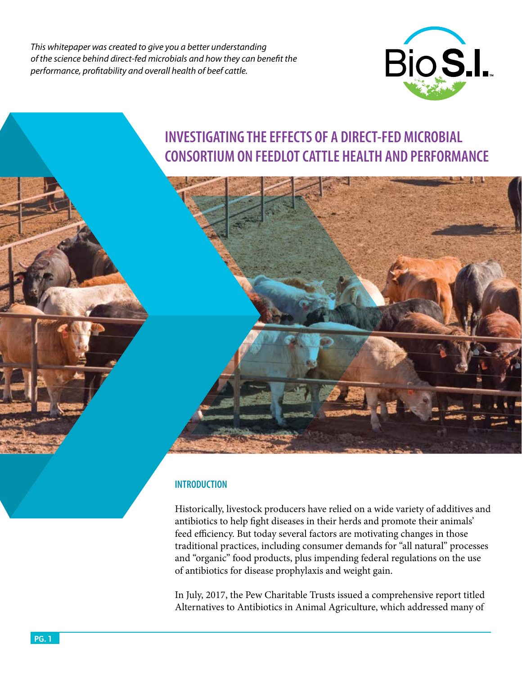*This whitepaper was created to give you a better understanding of the science behind direct-fed microbials and how they can benefit the performance, profitability and overall health of beef cattle.* 



# **INVESTIGATING THE EFFECTS OF A DIRECT-FED MICROBIAL CONSORTIUM ON FEEDLOT CATTLE HEALTH AND PERFORMANCE**

## **INTRODUCTION**

Historically, livestock producers have relied on a wide variety of additives and antibiotics to help fight diseases in their herds and promote their animals' feed efficiency. But today several factors are motivating changes in those traditional practices, including consumer demands for "all natural" processes and "organic" food products, plus impending federal regulations on the use of antibiotics for disease prophylaxis and weight gain.

In July, 2017, the Pew Charitable Trusts issued a comprehensive report titled Alternatives to Antibiotics in Animal Agriculture, which addressed many of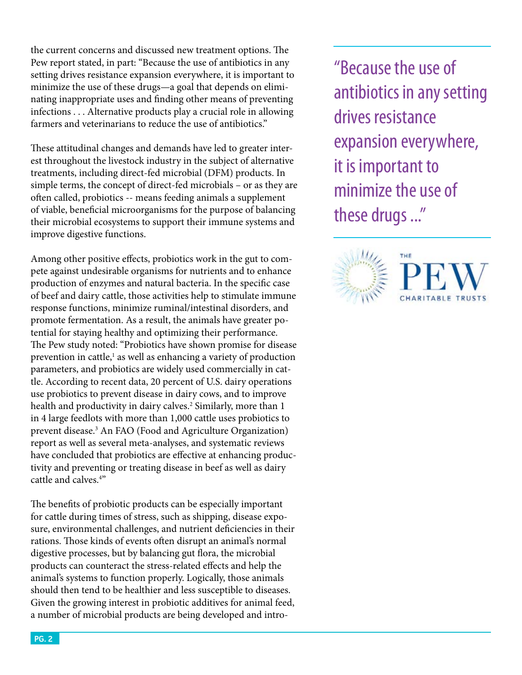the current concerns and discussed new treatment options. The Pew report stated, in part: "Because the use of antibiotics in any setting drives resistance expansion everywhere, it is important to minimize the use of these drugs—a goal that depends on eliminating inappropriate uses and finding other means of preventing infections . . . Alternative products play a crucial role in allowing farmers and veterinarians to reduce the use of antibiotics."

These attitudinal changes and demands have led to greater interest throughout the livestock industry in the subject of alternative treatments, including direct-fed microbial (DFM) products. In simple terms, the concept of direct-fed microbials – or as they are often called, probiotics -- means feeding animals a supplement of viable, beneficial microorganisms for the purpose of balancing their microbial ecosystems to support their immune systems and improve digestive functions.

Among other positive effects, probiotics work in the gut to compete against undesirable organisms for nutrients and to enhance production of enzymes and natural bacteria. In the specific case of beef and dairy cattle, those activities help to stimulate immune response functions, minimize ruminal/intestinal disorders, and promote fermentation. As a result, the animals have greater potential for staying healthy and optimizing their performance. The Pew study noted: "Probiotics have shown promise for disease prevention in cattle,<sup>1</sup> as well as enhancing a variety of production parameters, and probiotics are widely used commercially in cattle. According to recent data, 20 percent of U.S. dairy operations use probiotics to prevent disease in dairy cows, and to improve health and productivity in dairy calves.<sup>2</sup> Similarly, more than 1 in 4 large feedlots with more than 1,000 cattle uses probiotics to prevent disease.<sup>3</sup> An FAO (Food and Agriculture Organization) report as well as several meta-analyses, and systematic reviews have concluded that probiotics are effective at enhancing productivity and preventing or treating disease in beef as well as dairy cattle and calves.4 "

The benefits of probiotic products can be especially important for cattle during times of stress, such as shipping, disease exposure, environmental challenges, and nutrient deficiencies in their rations. Those kinds of events often disrupt an animal's normal digestive processes, but by balancing gut flora, the microbial products can counteract the stress-related effects and help the animal's systems to function properly. Logically, those animals should then tend to be healthier and less susceptible to diseases. Given the growing interest in probiotic additives for animal feed, a number of microbial products are being developed and intro"Because the use of antibiotics in any setting drives resistance expansion everywhere, it is important to minimize the use of these drugs ..."

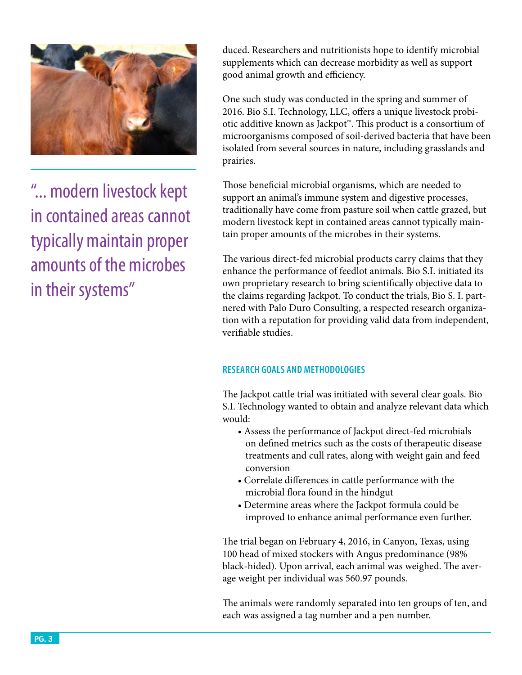

"... modern livestock kept in contained areas cannot typically maintain proper amounts of the microbes in their systems"

duced. Researchers and nutritionists hope to identify microbial supplements which can decrease morbidity as well as support good animal growth and efficiency.

One such study was conducted in the spring and summer of 2016. Bio S.I. Technology, LLC, offers a unique livestock probiotic additive known as Jackpot™. This product is a consortium of microorganisms composed of soil-derived bacteria that have been isolated from several sources in nature, including grasslands and prairies.

Those beneficial microbial organisms, which are needed to support an animal's immune system and digestive processes, traditionally have come from pasture soil when cattle grazed, but modern livestock kept in contained areas cannot typically maintain proper amounts of the microbes in their systems.

The various direct-fed microbial products carry claims that they enhance the performance of feedlot animals. Bio S.I. initiated its own proprietary research to bring scientifically objective data to the claims regarding Jackpot. To conduct the trials, Bio S. I. partnered with Palo Duro Consulting, a respected research organization with a reputation for providing valid data from independent, verifiable studies.

## **RESEARCH GOALS AND METHODOLOGIES**

The Jackpot cattle trial was initiated with several clear goals. Bio S.I. Technology wanted to obtain and analyze relevant data which would:

- Assess the performance of Jackpot direct-fed microbials on defined metrics such as the costs of therapeutic disease treatments and cull rates, along with weight gain and feed conversion
- Correlate differences in cattle performance with the microbial flora found in the hindgut
- Determine areas where the Jackpot formula could be improved to enhance animal performance even further.

The trial began on February 4, 2016, in Canyon, Texas, using 100 head of mixed stockers with Angus predominance (98% black-hided). Upon arrival, each animal was weighed. The average weight per individual was 560.97 pounds.

The animals were randomly separated into ten groups of ten, and each was assigned a tag number and a pen number.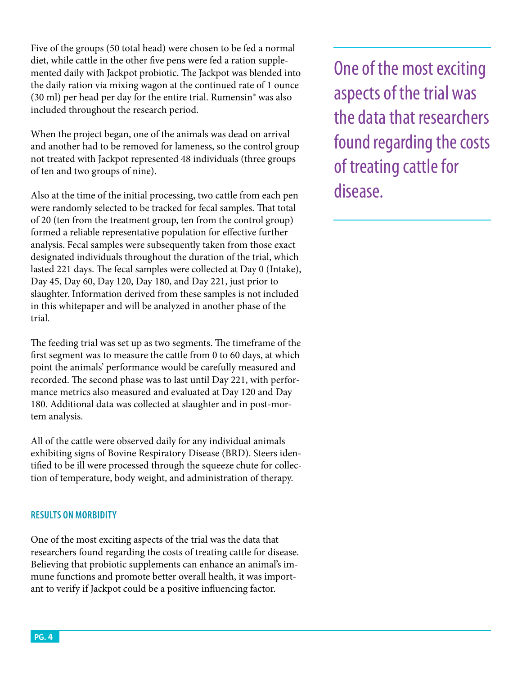Five of the groups (50 total head) were chosen to be fed a normal diet, while cattle in the other five pens were fed a ration supplemented daily with Jackpot probiotic. The Jackpot was blended into the daily ration via mixing wagon at the continued rate of 1 ounce (30 ml) per head per day for the entire trial. Rumensin® was also included throughout the research period.

When the project began, one of the animals was dead on arrival and another had to be removed for lameness, so the control group not treated with Jackpot represented 48 individuals (three groups of ten and two groups of nine).

Also at the time of the initial processing, two cattle from each pen were randomly selected to be tracked for fecal samples. That total of 20 (ten from the treatment group, ten from the control group) formed a reliable representative population for effective further analysis. Fecal samples were subsequently taken from those exact designated individuals throughout the duration of the trial, which lasted 221 days. The fecal samples were collected at Day 0 (Intake), Day 45, Day 60, Day 120, Day 180, and Day 221, just prior to slaughter. Information derived from these samples is not included in this whitepaper and will be analyzed in another phase of the trial.

The feeding trial was set up as two segments. The timeframe of the first segment was to measure the cattle from 0 to 60 days, at which point the animals' performance would be carefully measured and recorded. The second phase was to last until Day 221, with performance metrics also measured and evaluated at Day 120 and Day 180. Additional data was collected at slaughter and in post-mortem analysis.

All of the cattle were observed daily for any individual animals exhibiting signs of Bovine Respiratory Disease (BRD). Steers identified to be ill were processed through the squeeze chute for collection of temperature, body weight, and administration of therapy.

### **RESULTS ON MORBIDITY**

One of the most exciting aspects of the trial was the data that researchers found regarding the costs of treating cattle for disease. Believing that probiotic supplements can enhance an animal's immune functions and promote better overall health, it was important to verify if Jackpot could be a positive influencing factor.

One of the most exciting aspects of the trial was the data that researchers found regarding the costs of treating cattle for disease.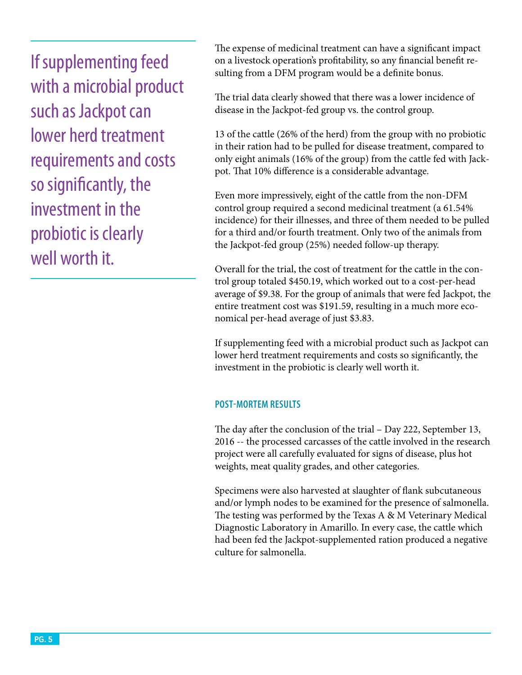If supplementing feed with a microbial product such as Jackpot can lower herd treatment requirements and costs so significantly, the investment in the probiotic is clearly well worth it.

The expense of medicinal treatment can have a significant impact on a livestock operation's profitability, so any financial benefit resulting from a DFM program would be a definite bonus.

The trial data clearly showed that there was a lower incidence of disease in the Jackpot-fed group vs. the control group.

13 of the cattle (26% of the herd) from the group with no probiotic in their ration had to be pulled for disease treatment, compared to only eight animals (16% of the group) from the cattle fed with Jackpot. That 10% difference is a considerable advantage.

Even more impressively, eight of the cattle from the non-DFM control group required a second medicinal treatment (a 61.54% incidence) for their illnesses, and three of them needed to be pulled for a third and/or fourth treatment. Only two of the animals from the Jackpot-fed group (25%) needed follow-up therapy.

Overall for the trial, the cost of treatment for the cattle in the control group totaled \$450.19, which worked out to a cost-per-head average of \$9.38. For the group of animals that were fed Jackpot, the entire treatment cost was \$191.59, resulting in a much more economical per-head average of just \$3.83.

If supplementing feed with a microbial product such as Jackpot can lower herd treatment requirements and costs so significantly, the investment in the probiotic is clearly well worth it.

### **POST-MORTEM RESULTS**

The day after the conclusion of the trial – Day 222, September 13, 2016 -- the processed carcasses of the cattle involved in the research project were all carefully evaluated for signs of disease, plus hot weights, meat quality grades, and other categories.

Specimens were also harvested at slaughter of flank subcutaneous and/or lymph nodes to be examined for the presence of salmonella. The testing was performed by the Texas A & M Veterinary Medical Diagnostic Laboratory in Amarillo. In every case, the cattle which had been fed the Jackpot-supplemented ration produced a negative culture for salmonella.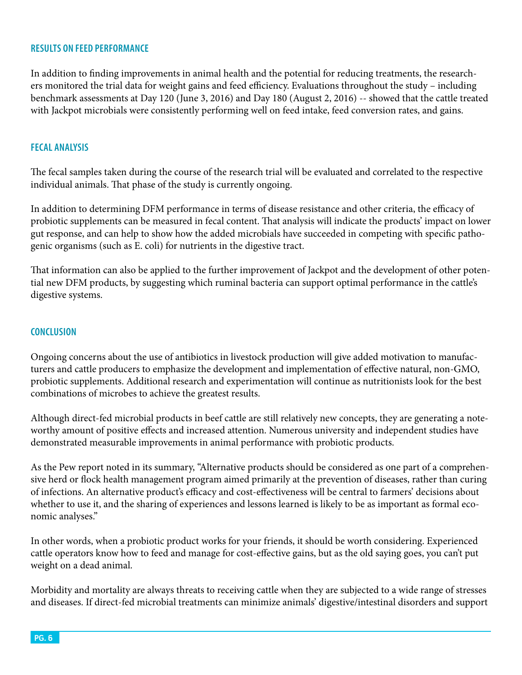#### **RESULTS ON FEED PERFORMANCE**

In addition to finding improvements in animal health and the potential for reducing treatments, the researchers monitored the trial data for weight gains and feed efficiency. Evaluations throughout the study – including benchmark assessments at Day 120 (June 3, 2016) and Day 180 (August 2, 2016) -- showed that the cattle treated with Jackpot microbials were consistently performing well on feed intake, feed conversion rates, and gains.

#### **FECAL ANALYSIS**

The fecal samples taken during the course of the research trial will be evaluated and correlated to the respective individual animals. That phase of the study is currently ongoing.

In addition to determining DFM performance in terms of disease resistance and other criteria, the efficacy of probiotic supplements can be measured in fecal content. That analysis will indicate the products' impact on lower gut response, and can help to show how the added microbials have succeeded in competing with specific pathogenic organisms (such as E. coli) for nutrients in the digestive tract.

That information can also be applied to the further improvement of Jackpot and the development of other potential new DFM products, by suggesting which ruminal bacteria can support optimal performance in the cattle's digestive systems.

#### **CONCLUSION**

Ongoing concerns about the use of antibiotics in livestock production will give added motivation to manufacturers and cattle producers to emphasize the development and implementation of effective natural, non-GMO, probiotic supplements. Additional research and experimentation will continue as nutritionists look for the best combinations of microbes to achieve the greatest results.

Although direct-fed microbial products in beef cattle are still relatively new concepts, they are generating a noteworthy amount of positive effects and increased attention. Numerous university and independent studies have demonstrated measurable improvements in animal performance with probiotic products.

As the Pew report noted in its summary, "Alternative products should be considered as one part of a comprehensive herd or flock health management program aimed primarily at the prevention of diseases, rather than curing of infections. An alternative product's efficacy and cost-effectiveness will be central to farmers' decisions about whether to use it, and the sharing of experiences and lessons learned is likely to be as important as formal economic analyses."

In other words, when a probiotic product works for your friends, it should be worth considering. Experienced cattle operators know how to feed and manage for cost-effective gains, but as the old saying goes, you can't put weight on a dead animal.

Morbidity and mortality are always threats to receiving cattle when they are subjected to a wide range of stresses and diseases. If direct-fed microbial treatments can minimize animals' digestive/intestinal disorders and support